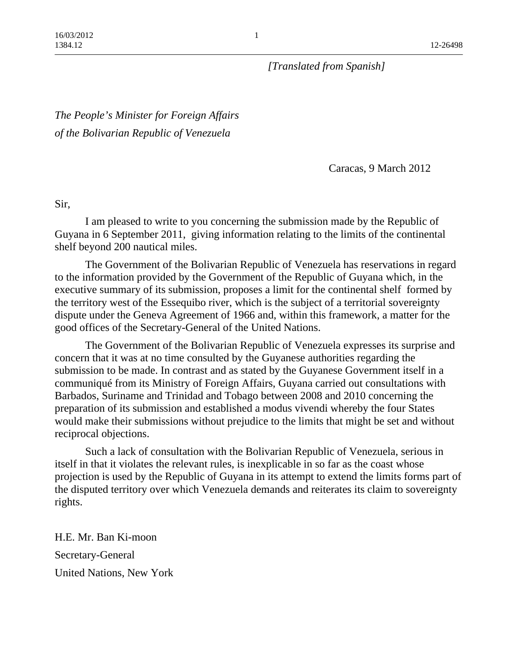*[Translated from Spanish]*

*The People's Minister for Foreign Affairs of the Bolivarian Republic of Venezuela*

Caracas, 9 March 2012

Sir,

 I am pleased to write to you concerning the submission made by the Republic of Guyana in 6 September 2011, giving information relating to the limits of the continental shelf beyond 200 nautical miles.

 The Government of the Bolivarian Republic of Venezuela has reservations in regard to the information provided by the Government of the Republic of Guyana which, in the executive summary of its submission, proposes a limit for the continental shelf formed by the territory west of the Essequibo river, which is the subject of a territorial sovereignty dispute under the Geneva Agreement of 1966 and, within this framework, a matter for the good offices of the Secretary-General of the United Nations.

 The Government of the Bolivarian Republic of Venezuela expresses its surprise and concern that it was at no time consulted by the Guyanese authorities regarding the submission to be made. In contrast and as stated by the Guyanese Government itself in a communiqué from its Ministry of Foreign Affairs, Guyana carried out consultations with Barbados, Suriname and Trinidad and Tobago between 2008 and 2010 concerning the preparation of its submission and established a modus vivendi whereby the four States would make their submissions without prejudice to the limits that might be set and without reciprocal objections.

 Such a lack of consultation with the Bolivarian Republic of Venezuela, serious in itself in that it violates the relevant rules, is inexplicable in so far as the coast whose projection is used by the Republic of Guyana in its attempt to extend the limits forms part of the disputed territory over which Venezuela demands and reiterates its claim to sovereignty rights.

H.E. Mr. Ban Ki-moon Secretary-General United Nations, New York